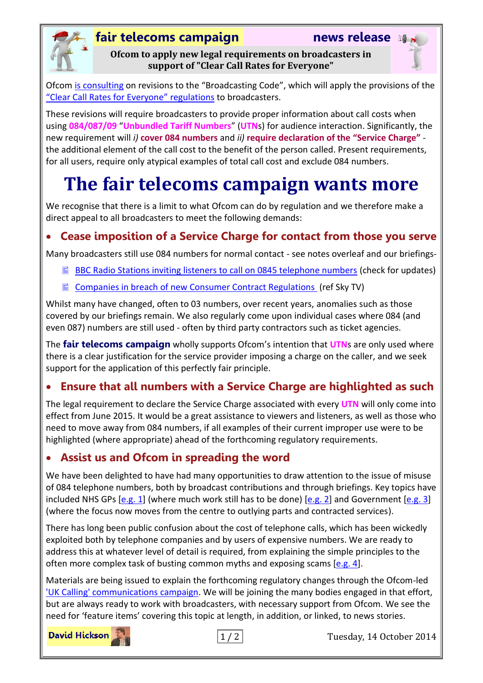### **fair telecoms campaign news release**



**Ofcom to apply new legal requirements on broadcasters in support of "Clear Call Rates for Everyone"**

Ofcom [is consulting](http://stakeholders.ofcom.org.uk/consultations/ngn-broadcasting/) on revisions to the "Broadcasting Code", which will apply the provisions of the "[Clear Call Rates for Everyone](http://www.ukcalling.info/)" regulations to broadcasters.

These revisions will require broadcasters to provide proper information about call costs when using **084/087/09** "**Unbundled Tariff Numbers**" (**UTN**s) for audience interaction. Significantly, the new requirement will *i)* **cover 084 numbers** and *ii)* **require declaration of the "Service Charge"** the additional element of the call cost to the benefit of the person called. Present requirements, for all users, require only atypical examples of total call cost and exclude 084 numbers.

# **The fair telecoms campaign wants more**

We recognise that there is a limit to what Ofcom can do by regulation and we therefore make a direct appeal to all broadcasters to meet the following demands:

# **Cease imposition of a Service Charge for contact from those you serve**

Many broadcasters still use 084 numbers for normal contact - see notes overleaf and our briefings-

- [BBC Radio Stations inviting listeners to call on 0845 telephone numbers](http://www.fairtelecoms.org.uk/uploads/1/1/4/5/11456053/bbc_local_radio.pdf) (check for updates)
- $\Box$  [Companies in breach of new Consumer Contract Regulations](http://www.fairtelecoms.org.uk/uploads/1/1/4/5/11456053/traders_in_breach_15_august_2014.pdf) (ref Sky TV)

Whilst many have changed, often to 03 numbers, over recent years, anomalies such as those covered by our briefings remain. We also regularly come upon individual cases where 084 (and even 087) numbers are still used - often by third party contractors such as ticket agencies.

The **fair telecoms campaign** wholly supports Ofcom's intention that **UTN**s are only used where there is a clear justification for the service provider imposing a charge on the caller, and we seek support for the application of this perfectly fair principle.

#### **Ensure that all numbers with a Service Charge are highlighted as such**

The legal requirement to declare the Service Charge associated with every **UTN** will only come into effect from June 2015. It would be a great assistance to viewers and listeners, as well as those who need to move away from 084 numbers, if all examples of their current improper use were to be highlighted (where appropriate) ahead of the forthcoming regulatory requirements.

#### **Assist us and Ofcom in spreading the word**

We have been delighted to have had many opportunities to draw attention to the issue of misuse of 084 telephone numbers, both by broadcast contributions and through briefings. Key topics have included NHS GPs [\[e.g.](http://fairtelecoms.org.uk/video-player.html?0lZzgjmaiyc) 1] (where much work still has to be done) [e.g. 2] and Government [\[e.g. 3\]](http://fairtelecoms.org.uk/video-player.html?XS4TrpNx6gU) (where the focus now moves from the centre to outlying parts and contracted services).

There has long been public confusion about the cost of telephone calls, which has been wickedly exploited both by telephone companies and by users of expensive numbers. We are ready to address this at whatever level of detail is required, from explaining the simple principles to the often more complex task of busting common myths and exposing scams  $[e.g. 4]$ .

Materials are being issued to explain the forthcoming regulatory changes through the Ofcom-led 'UK Calling' [communications campaign.](http://www.ukcalling.info/) We will be joining the many bodies engaged in that effort, but are always ready to work with broadcasters, with necessary support from Ofcom. We see the need for 'feature items' covering this topic at length, in addition, or linked, to news stories.

**David Hickson** 



1 / 2 Tuesday, 14 October 2014